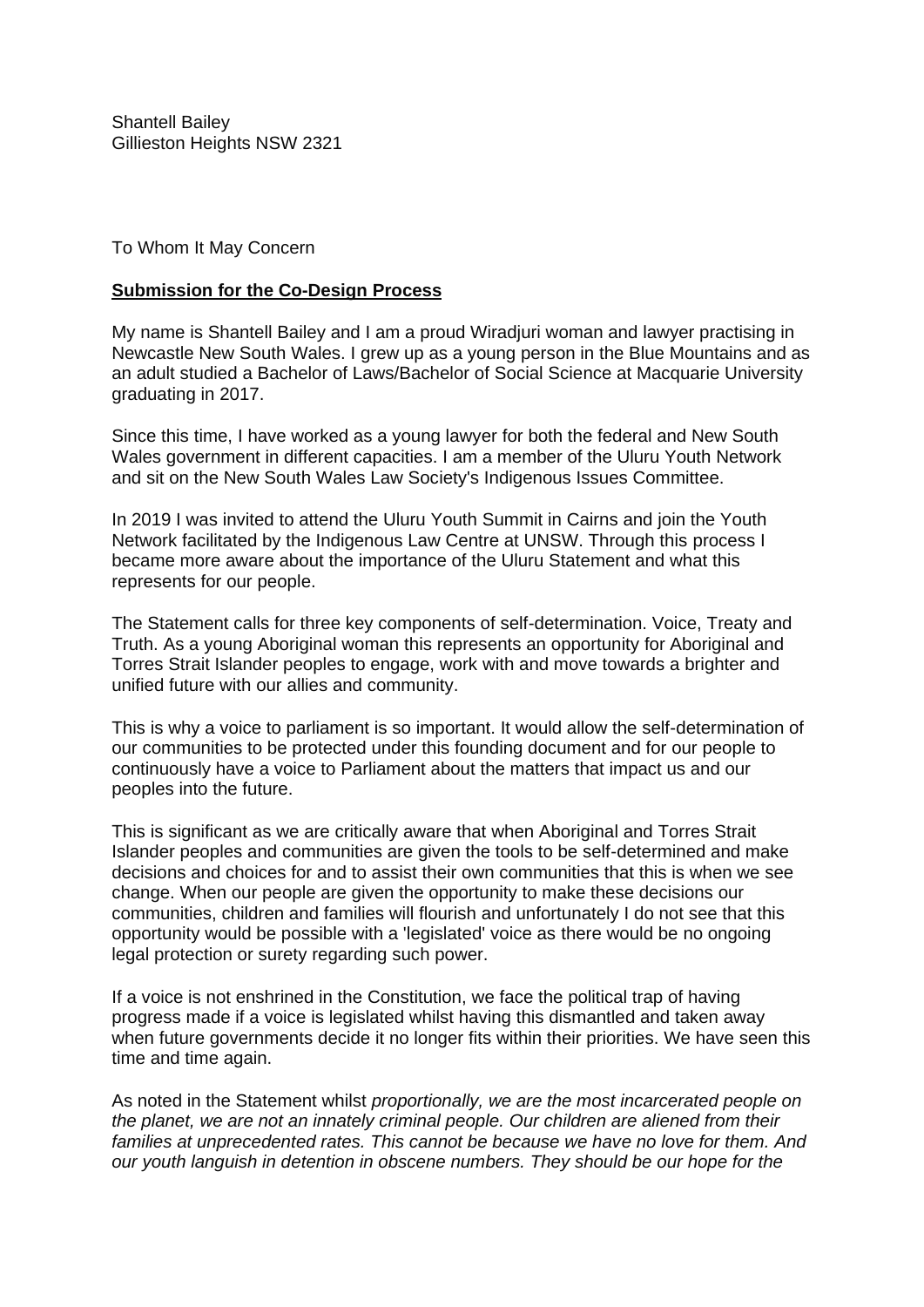Shantell Bailey Gillieston Heights NSW 2321

To Whom It May Concern

## **Submission for the Co-Design Process**

My name is Shantell Bailey and I am a proud Wiradjuri woman and lawyer practising in Newcastle New South Wales. I grew up as a young person in the Blue Mountains and as an adult studied a Bachelor of Laws/Bachelor of Social Science at Macquarie University graduating in 2017.

Since this time, I have worked as a young lawyer for both the federal and New South Wales government in different capacities. I am a member of the Uluru Youth Network and sit on the New South Wales Law Society's Indigenous Issues Committee.

In 2019 I was invited to attend the Uluru Youth Summit in Cairns and join the Youth Network facilitated by the Indigenous Law Centre at UNSW. Through this process I became more aware about the importance of the Uluru Statement and what this represents for our people.

The Statement calls for three key components of self-determination. Voice, Treaty and Truth. As a young Aboriginal woman this represents an opportunity for Aboriginal and Torres Strait Islander peoples to engage, work with and move towards a brighter and unified future with our allies and community.

This is why a voice to parliament is so important. It would allow the self-determination of our communities to be protected under this founding document and for our people to continuously have a voice to Parliament about the matters that impact us and our peoples into the future.

This is significant as we are critically aware that when Aboriginal and Torres Strait Islander peoples and communities are given the tools to be self-determined and make decisions and choices for and to assist their own communities that this is when we see change. When our people are given the opportunity to make these decisions our communities, children and families will flourish and unfortunately I do not see that this opportunity would be possible with a 'legislated' voice as there would be no ongoing legal protection or surety regarding such power.

If a voice is not enshrined in the Constitution, we face the political trap of having progress made if a voice is legislated whilst having this dismantled and taken away when future governments decide it no longer fits within their priorities. We have seen this time and time again.

As noted in the Statement whilst *proportionally, we are the most incarcerated people on the planet, we are not an innately criminal people. Our children are aliened from their families at unprecedented rates. This cannot be because we have no love for them. And our youth languish in detention in obscene numbers. They should be our hope for the*